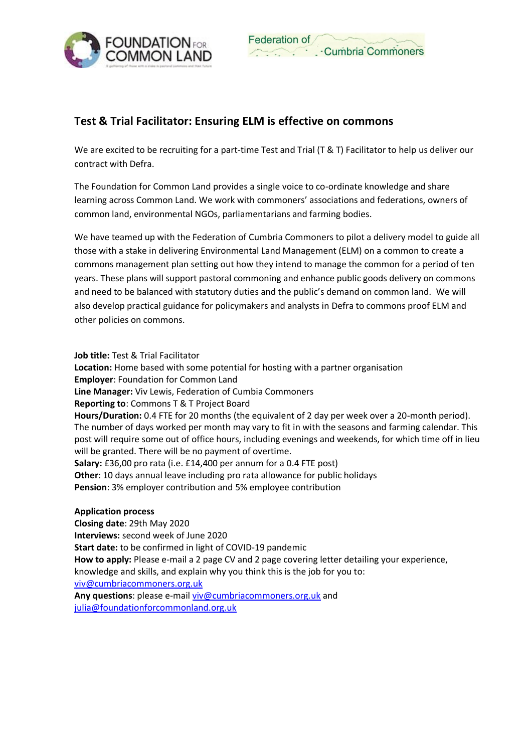



## **Test & Trial Facilitator: Ensuring ELM is effective on commons**

We are excited to be recruiting for a part-time Test and Trial (T & T) Facilitator to help us deliver our contract with Defra.

The Foundation for Common Land provides a single voice to co-ordinate knowledge and share learning across Common Land. We work with commoners' associations and federations, owners of common land, environmental NGOs, parliamentarians and farming bodies.

We have teamed up with the Federation of Cumbria Commoners to pilot a delivery model to guide all those with a stake in delivering Environmental Land Management (ELM) on a common to create a commons management plan setting out how they intend to manage the common for a period of ten years. These plans will support pastoral commoning and enhance public goods delivery on commons and need to be balanced with statutory duties and the public's demand on common land. We will also develop practical guidance for policymakers and analysts in Defra to commons proof ELM and other policies on commons.

**Job title:** Test & Trial Facilitator **Location:** Home based with some potential for hosting with a partner organisation **Employer**: Foundation for Common Land **Line Manager:** Viv Lewis, Federation of Cumbia Commoners **Reporting to**: Commons T & T Project Board **Hours/Duration:** 0.4 FTE for 20 months (the equivalent of 2 day per week over a 20-month period). The number of days worked per month may vary to fit in with the seasons and farming calendar. This post will require some out of office hours, including evenings and weekends, for which time off in lieu will be granted. There will be no payment of overtime. **Salary:** £36,00 pro rata (i.e. £14,400 per annum for a 0.4 FTE post) **Other**: 10 days annual leave including pro rata allowance for public holidays **Pension**: 3% employer contribution and 5% employee contribution

### **Application process**

**Closing date**: 29th May 2020 **Interviews:** second week of June 2020 **Start date:** to be confirmed in light of COVID-19 pandemic **How to apply:** Please e-mail a 2 page CV and 2 page covering letter detailing your experience, knowledge and skills, and explain why you think this is the job for you to: [viv@cumbriacommoners.org.uk](mailto:viv@cumbriacommoners.org.uk) **Any questions**: please e-mail [viv@cumbriacommoners.org.uk](mailto:viv@cumbriacommoners.org.uk) and

[julia@foundationforcommonland.org.uk](mailto:julia@foundationforcommonland.org.uk)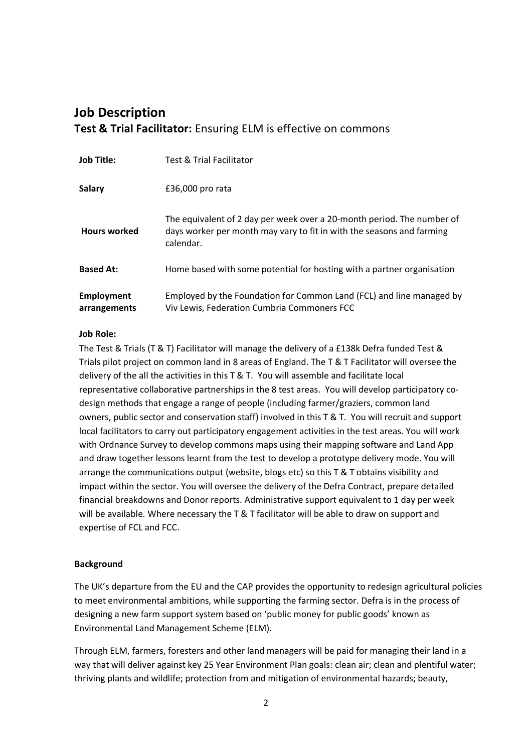## **Job Description Test & Trial Facilitator:** Ensuring ELM is effective on commons

| <b>Job Title:</b>                 | <b>Test &amp; Trial Facilitator</b>                                                                                                                          |
|-----------------------------------|--------------------------------------------------------------------------------------------------------------------------------------------------------------|
| <b>Salary</b>                     | £36,000 pro rata                                                                                                                                             |
| <b>Hours worked</b>               | The equivalent of 2 day per week over a 20-month period. The number of<br>days worker per month may vary to fit in with the seasons and farming<br>calendar. |
| <b>Based At:</b>                  | Home based with some potential for hosting with a partner organisation                                                                                       |
| <b>Employment</b><br>arrangements | Employed by the Foundation for Common Land (FCL) and line managed by<br>Viv Lewis, Federation Cumbria Commoners FCC                                          |

### **Job Role:**

The Test & Trials (T & T) Facilitator will manage the delivery of a £138k Defra funded Test & Trials pilot project on common land in 8 areas of England. The T & T Facilitator will oversee the delivery of the all the activities in this T & T. You will assemble and facilitate local representative collaborative partnerships in the 8 test areas. You will develop participatory codesign methods that engage a range of people (including farmer/graziers, common land owners, public sector and conservation staff) involved in this T & T. You will recruit and support local facilitators to carry out participatory engagement activities in the test areas. You will work with Ordnance Survey to develop commons maps using their mapping software and Land App and draw together lessons learnt from the test to develop a prototype delivery mode. You will arrange the communications output (website, blogs etc) so this T & T obtains visibility and impact within the sector. You will oversee the delivery of the Defra Contract, prepare detailed financial breakdowns and Donor reports. Administrative support equivalent to 1 day per week will be available. Where necessary the T & T facilitator will be able to draw on support and expertise of FCL and FCC.

### **Background**

The UK's departure from the EU and the CAP provides the opportunity to redesign agricultural policies to meet environmental ambitions, while supporting the farming sector. Defra is in the process of designing a new farm support system based on 'public money for public goods' known as Environmental Land Management Scheme (ELM).

Through ELM, farmers, foresters and other land managers will be paid for managing their land in a way that will deliver against key 25 Year Environment Plan goals: clean air; clean and plentiful water; thriving plants and wildlife; protection from and mitigation of environmental hazards; beauty,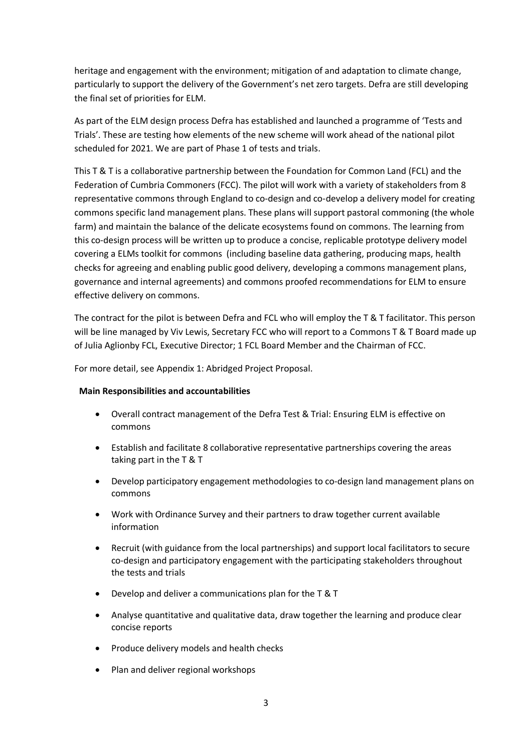heritage and engagement with the environment; mitigation of and adaptation to climate change, particularly to support the delivery of the Government's net zero targets. Defra are still developing the final set of priorities for ELM.

As part of the ELM design process Defra has established and launched a programme of 'Tests and Trials'. These are testing how elements of the new scheme will work ahead of the national pilot scheduled for 2021. We are part of Phase 1 of tests and trials.

This T & T is a collaborative partnership between the Foundation for Common Land (FCL) and the Federation of Cumbria Commoners (FCC). The pilot will work with a variety of stakeholders from 8 representative commons through England to co-design and co-develop a delivery model for creating commons specific land management plans. These plans will support pastoral commoning (the whole farm) and maintain the balance of the delicate ecosystems found on commons. The learning from this co-design process will be written up to produce a concise, replicable prototype delivery model covering a ELMs toolkit for commons (including baseline data gathering, producing maps, health checks for agreeing and enabling public good delivery, developing a commons management plans, governance and internal agreements) and commons proofed recommendations for ELM to ensure effective delivery on commons.

The contract for the pilot is between Defra and FCL who will employ the T & T facilitator. This person will be line managed by Viv Lewis, Secretary FCC who will report to a Commons T & T Board made up of Julia Aglionby FCL, Executive Director; 1 FCL Board Member and the Chairman of FCC.

For more detail, see Appendix 1: Abridged Project Proposal.

### **Main Responsibilities and accountabilities**

- Overall contract management of the Defra Test & Trial: Ensuring ELM is effective on commons
- Establish and facilitate 8 collaborative representative partnerships covering the areas taking part in the T & T
- Develop participatory engagement methodologies to co-design land management plans on commons
- Work with Ordinance Survey and their partners to draw together current available information
- Recruit (with guidance from the local partnerships) and support local facilitators to secure co-design and participatory engagement with the participating stakeholders throughout the tests and trials
- Develop and deliver a communications plan for the T & T
- Analyse quantitative and qualitative data, draw together the learning and produce clear concise reports
- Produce delivery models and health checks
- Plan and deliver regional workshops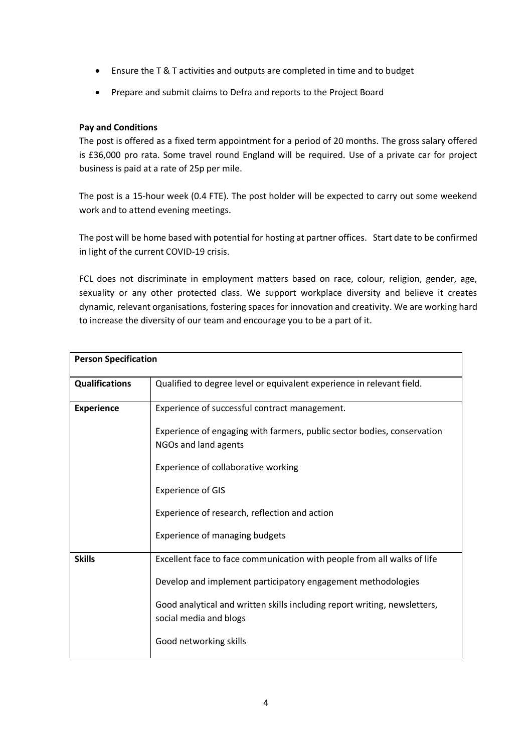- Ensure the T & T activities and outputs are completed in time and to budget
- Prepare and submit claims to Defra and reports to the Project Board

### **Pay and Conditions**

The post is offered as a fixed term appointment for a period of 20 months. The gross salary offered is £36,000 pro rata. Some travel round England will be required. Use of a private car for project business is paid at a rate of 25p per mile.

The post is a 15-hour week (0.4 FTE). The post holder will be expected to carry out some weekend work and to attend evening meetings.

The post will be home based with potential for hosting at partner offices. Start date to be confirmed in light of the current COVID-19 crisis.

FCL does not discriminate in employment matters based on race, colour, religion, gender, age, sexuality or any other protected class. We support workplace diversity and believe it creates dynamic, relevant organisations, fostering spaces for innovation and creativity. We are working hard to increase the diversity of our team and encourage you to be a part of it.

| <b>Person Specification</b> |                                                                                                                                                                                                                                                                          |
|-----------------------------|--------------------------------------------------------------------------------------------------------------------------------------------------------------------------------------------------------------------------------------------------------------------------|
| <b>Qualifications</b>       | Qualified to degree level or equivalent experience in relevant field.                                                                                                                                                                                                    |
| <b>Experience</b>           | Experience of successful contract management.<br>Experience of engaging with farmers, public sector bodies, conservation<br>NGOs and land agents<br>Experience of collaborative working<br><b>Experience of GIS</b>                                                      |
|                             | Experience of research, reflection and action<br>Experience of managing budgets                                                                                                                                                                                          |
| <b>Skills</b>               | Excellent face to face communication with people from all walks of life<br>Develop and implement participatory engagement methodologies<br>Good analytical and written skills including report writing, newsletters,<br>social media and blogs<br>Good networking skills |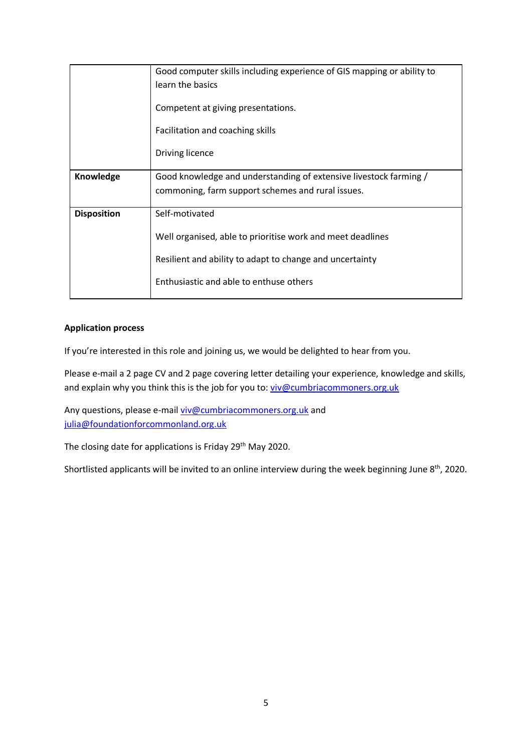|                    | Good computer skills including experience of GIS mapping or ability to<br>learn the basics |
|--------------------|--------------------------------------------------------------------------------------------|
|                    | Competent at giving presentations.                                                         |
|                    | Facilitation and coaching skills                                                           |
|                    | Driving licence                                                                            |
| Knowledge          | Good knowledge and understanding of extensive livestock farming /                          |
|                    | commoning, farm support schemes and rural issues.                                          |
| <b>Disposition</b> | Self-motivated                                                                             |
|                    | Well organised, able to prioritise work and meet deadlines                                 |
|                    | Resilient and ability to adapt to change and uncertainty                                   |
|                    | Enthusiastic and able to enthuse others                                                    |

### **Application process**

If you're interested in this role and joining us, we would be delighted to hear from you.

Please e-mail a 2 page CV and 2 page covering letter detailing your experience, knowledge and skills, and explain why you think this is the job for you to: [viv@cumbriacommoners.org.uk](mailto:viv@cumbriacommoners.org.uk)

Any questions, please e-mail [viv@cumbriacommoners.org.uk](mailto:viv@cumbriacommoners.org.uk) and [julia@foundationforcommonland.org.uk](mailto:julia@foundationforcommonland.org.uk)

The closing date for applications is Friday 29th May 2020.

Shortlisted applicants will be invited to an online interview during the week beginning June 8<sup>th</sup>, 2020.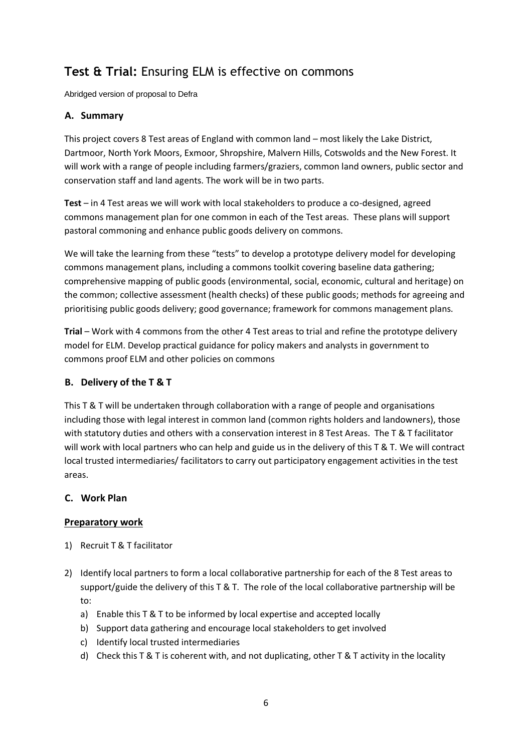# **Test & Trial:** Ensuring ELM is effective on commons

Abridged version of proposal to Defra

## **A. Summary**

This project covers 8 Test areas of England with common land – most likely the Lake District, Dartmoor, North York Moors, Exmoor, Shropshire, Malvern Hills, Cotswolds and the New Forest. It will work with a range of people including farmers/graziers, common land owners, public sector and conservation staff and land agents. The work will be in two parts.

**Test** – in 4 Test areas we will work with local stakeholders to produce a co-designed, agreed commons management plan for one common in each of the Test areas. These plans will support pastoral commoning and enhance public goods delivery on commons.

We will take the learning from these "tests" to develop a prototype delivery model for developing commons management plans, including a commons toolkit covering baseline data gathering; comprehensive mapping of public goods (environmental, social, economic, cultural and heritage) on the common; collective assessment (health checks) of these public goods; methods for agreeing and prioritising public goods delivery; good governance; framework for commons management plans.

**Trial** – Work with 4 commons from the other 4 Test areas to trial and refine the prototype delivery model for ELM. Develop practical guidance for policy makers and analysts in government to commons proof ELM and other policies on commons

## **B. Delivery of the T & T**

This T & T will be undertaken through collaboration with a range of people and organisations including those with legal interest in common land (common rights holders and landowners), those with statutory duties and others with a conservation interest in 8 Test Areas. The T & T facilitator will work with local partners who can help and guide us in the delivery of this T & T. We will contract local trusted intermediaries/ facilitators to carry out participatory engagement activities in the test areas.

## **C. Work Plan**

## **Preparatory work**

- 1) Recruit T & T facilitator
- 2) Identify local partners to form a local collaborative partnership for each of the 8 Test areas to support/guide the delivery of this T & T. The role of the local collaborative partnership will be to:
	- a) Enable this T & T to be informed by local expertise and accepted locally
	- b) Support data gathering and encourage local stakeholders to get involved
	- c) Identify local trusted intermediaries
	- d) Check this T & T is coherent with, and not duplicating, other T & T activity in the locality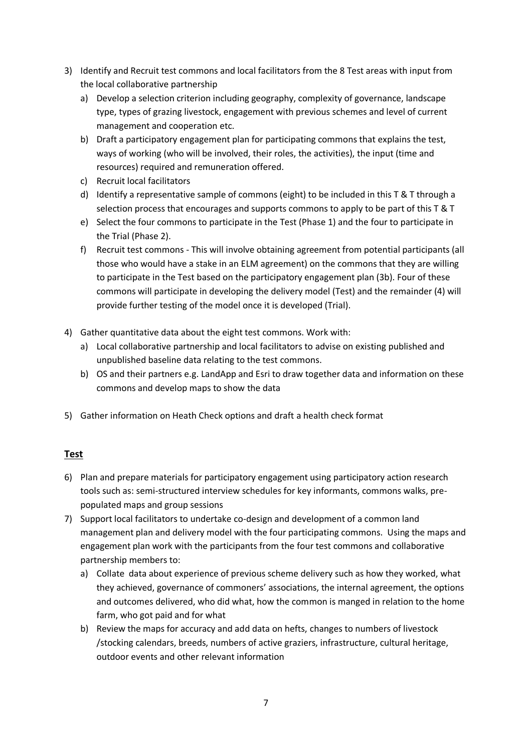- 3) Identify and Recruit test commons and local facilitators from the 8 Test areas with input from the local collaborative partnership
	- a) Develop a selection criterion including geography, complexity of governance, landscape type, types of grazing livestock, engagement with previous schemes and level of current management and cooperation etc.
	- b) Draft a participatory engagement plan for participating commons that explains the test, ways of working (who will be involved, their roles, the activities), the input (time and resources) required and remuneration offered.
	- c) Recruit local facilitators
	- d) Identify a representative sample of commons (eight) to be included in this T & T through a selection process that encourages and supports commons to apply to be part of this T & T
	- e) Select the four commons to participate in the Test (Phase 1) and the four to participate in the Trial (Phase 2).
	- f) Recruit test commons This will involve obtaining agreement from potential participants (all those who would have a stake in an ELM agreement) on the commons that they are willing to participate in the Test based on the participatory engagement plan (3b). Four of these commons will participate in developing the delivery model (Test) and the remainder (4) will provide further testing of the model once it is developed (Trial).
- 4) Gather quantitative data about the eight test commons. Work with:
	- a) Local collaborative partnership and local facilitators to advise on existing published and unpublished baseline data relating to the test commons.
	- b) OS and their partners e.g. LandApp and Esri to draw together data and information on these commons and develop maps to show the data
- 5) Gather information on Heath Check options and draft a health check format

## **Test**

- 6) Plan and prepare materials for participatory engagement using participatory action research tools such as: semi-structured interview schedules for key informants, commons walks, prepopulated maps and group sessions
- 7) Support local facilitators to undertake co-design and development of a common land management plan and delivery model with the four participating commons. Using the maps and engagement plan work with the participants from the four test commons and collaborative partnership members to:
	- a) Collate data about experience of previous scheme delivery such as how they worked, what they achieved, governance of commoners' associations, the internal agreement, the options and outcomes delivered, who did what, how the common is manged in relation to the home farm, who got paid and for what
	- b) Review the maps for accuracy and add data on hefts, changes to numbers of livestock /stocking calendars, breeds, numbers of active graziers, infrastructure, cultural heritage, outdoor events and other relevant information